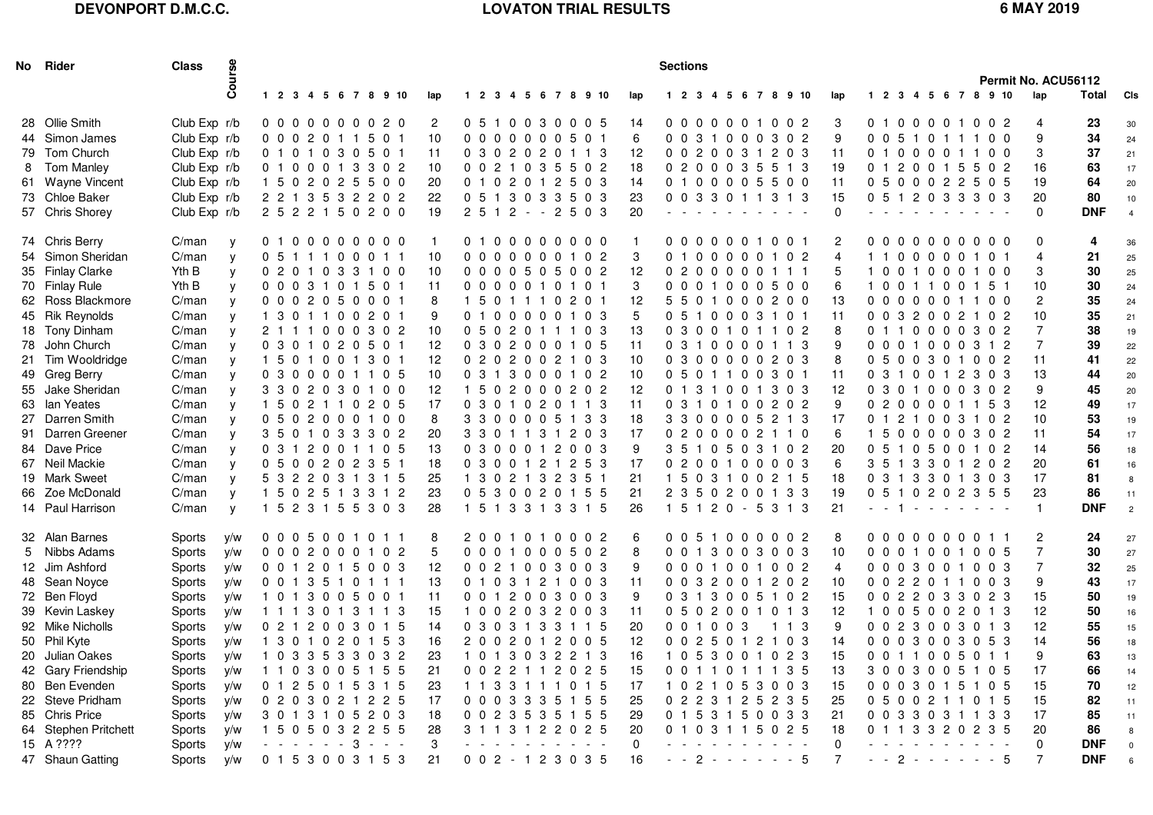# **DEVONPORT D.M.C.C.**

# **LOVATON TRIAL RESULTS 6 MAY 2019**

|   | No Rider             | <b>Class</b>  | Course       |                     |                |                                                     |                |   |                      |     |  |  |                     |                      |     | <b>Sections</b> |       |               |                                                                                                 |                     |                                                                 |                |                          |             |   |            |                                                     |    |       |            | Permit No. ACU56112 |            |                |
|---|----------------------|---------------|--------------|---------------------|----------------|-----------------------------------------------------|----------------|---|----------------------|-----|--|--|---------------------|----------------------|-----|-----------------|-------|---------------|-------------------------------------------------------------------------------------------------|---------------------|-----------------------------------------------------------------|----------------|--------------------------|-------------|---|------------|-----------------------------------------------------|----|-------|------------|---------------------|------------|----------------|
|   |                      |               |              |                     |                |                                                     |                |   | 1 2 3 4 5 6 7 8 9 10 | lap |  |  |                     | 1 2 3 4 5 6 7 8 9 10 | lap |                 |       |               |                                                                                                 |                     | 1 2 3 4 5 6 7 8 9 10                                            | lap            |                          |             |   |            | 1 2 3 4 5 6 7 8 9 10                                |    |       |            | lap                 | Total      | <b>CIs</b>     |
|   | 28 Ollie Smith       | Club Exp r/b  |              |                     |                |                                                     |                |   | 0000000020           | 2   |  |  |                     | 0 5 1 0 0 3 0 0 0 5  | 14  |                 |       |               |                                                                                                 |                     | 0000001002                                                      | 3              |                          |             |   |            | 0100001002                                          |    |       |            | 4                   | 23         | 30             |
|   | 44 Simon James       | Club Exp r/b  |              | 0 0 0 2 0 1 1 5 0 1 |                |                                                     |                |   |                      | 10  |  |  | 0 0 0 0 0 0 0 5 0 1 |                      | 6   |                 |       |               |                                                                                                 |                     | 0 0 3 1 0 0 0 3 0 2                                             | 9              |                          |             |   |            | 0 0 5 1 0 1 1 1 0 0                                 |    |       |            | 9                   | 34         | 24             |
|   | 79 Tom Church        | Club Exp r/b  |              | 0 1 0 1 0           |                |                                                     | 30             |   | 5 0 1                | 11  |  |  | 0 3 0 2 0 2 0       | 1 1 3                | 12  |                 |       | 0 0 2 0 0 3 1 |                                                                                                 |                     | 203                                                             | -11            |                          |             |   | 010000     |                                                     |    |       | $0\quad 0$ | 3                   | 37         | 21             |
| 8 | <b>Tom Manley</b>    | Club Exp r/b  |              | 0 1 0               |                | 0 0 1                                               |                | 3 | 3 0 2                | 10  |  |  | 0 0 2 1 0 3 5       | 5 0 2                | 18  |                 |       |               |                                                                                                 |                     | 0 2 0 0 0 3 5 5 1 3                                             | 19             |                          |             |   |            | 0 1 2 0 0 1 5                                       | -5 |       | 02         | 16                  | 63         | 17             |
|   | 61 Wayne Vincent     | Club Exp r/b  |              |                     |                |                                                     |                |   | 1 5 0 2 0 2 5 5 0 0  | 20  |  |  |                     | 0 1 0 2 0 1 2 5 0 3  | 14  |                 |       |               |                                                                                                 |                     | 0100005500                                                      | 11             |                          |             |   |            | 0 5 0 0 0 2 2 5 0 5                                 |    |       |            | 19                  | 64         | 20             |
|   | 73 Chloe Baker       | Club Exp r/b  |              |                     |                |                                                     |                |   | 2 2 1 3 5 3 2 2 0 2  | 22  |  |  |                     | 0 5 1 3 0 3 3 5 0 3  | 23  |                 |       |               |                                                                                                 |                     | 0 0 3 3 0 1 1 3 1 3                                             | 15             |                          |             |   |            | 0 5 1 2 0 3 3 3 0 3                                 |    |       |            | 20                  | 80         | 10             |
|   | 57 Chris Shorey      | Club Exp r/b  |              | 2 5 2 2 1 5 0 2 0 0 |                |                                                     |                |   |                      | 19  |  |  |                     | $2512 - 2503$        | 20  |                 |       |               | the company of the company                                                                      |                     |                                                                 | $\mathbf 0$    |                          |             |   |            | $\mathcal{A}=\mathcal{A}=\mathcal{A}=\mathcal{A}$ . |    |       |            | $\mathbf{0}$        | <b>DNF</b> | $\overline{4}$ |
|   | 74 Chris Berry       | C/man         | y            |                     |                |                                                     |                |   | 0100000000           |     |  |  |                     | 0100000000           |     |                 |       |               |                                                                                                 | 0 0 0 0 0 0 1 0 0 1 |                                                                 | 2              |                          |             |   |            | 0000000000                                          |    |       |            | 0                   | 4          | 36             |
|   | 54 Simon Sheridan    | C/man         | y            | 0 5 1 1 1 0 0 0 1 1 |                |                                                     |                |   |                      | 10  |  |  |                     | 0000000102           | 3   |                 |       |               |                                                                                                 |                     | 0100000102                                                      | $\overline{4}$ |                          |             |   |            | 1100000101                                          |    |       |            | 4                   | 21         | 25             |
|   | 35 Finlay Clarke     | Yth B         | y            |                     |                |                                                     |                |   | 0 2 0 1 0 3 3 1 0 0  | 10  |  |  |                     | 0 0 0 0 5 0 5 0 0 2  | 12  |                 |       |               |                                                                                                 | 0 2 0 0 0 0 0 1 1 1 |                                                                 | 5              |                          |             |   |            | 1001000100                                          |    |       |            | 3                   | 30         | 25             |
|   | 70 Finlay Rule       | Yth B         | y            | 0 0 0 3 1 0 1 5 0 1 |                |                                                     |                |   |                      | 11  |  |  | 0 0 0 0 0 1 0 1 0 1 |                      | 3   |                 |       |               |                                                                                                 |                     | 0 0 0 1 0 0 0 5 0 0                                             | 6              |                          |             |   |            | 1 0 0 1 1 0 0 1 5 1                                 |    |       |            | 10                  | 30         | 24             |
|   | 62 Ross Blackmore    | C/man         | y            | 000                 |                |                                                     | 2 0 5 0        |   | 0 0 1                | 8   |  |  | 1501110             | 2 0 1                | 12  |                 | 55    |               |                                                                                                 |                     | 01000200                                                        | 13             |                          |             |   | 000000     |                                                     |    |       | 00         | 2                   | 35         | 24             |
|   | 45 Rik Reynolds      | C/man         | y            |                     | 30             |                                                     | 1100           |   | 2 0 1                | 9   |  |  | 0100000             | 1 0 3                | 5   |                 |       |               |                                                                                                 | 0 5 1 0 0 0 3 1 0 1 |                                                                 | 11             | 0 <sub>0</sub>           |             |   | 3 2 0 0    |                                                     | 2  |       | 02         | 10                  | 35         | 21             |
|   | 18 Tony Dinham       | C/man         | y            | 2 1 1               |                |                                                     |                |   | 1000302              | 10  |  |  |                     | 0 5 0 2 0 1 1 1 0 3  | 13  |                 |       |               |                                                                                                 |                     | 0 3 0 0 1 0 1 1 0 2                                             | 8              |                          |             |   |            | 0110000302                                          |    |       |            | $\overline{7}$      | 38         | 19             |
|   | 78 John Church       | C/man         | y            | 0301020501          |                |                                                     |                |   |                      | 12  |  |  |                     | 0 3 0 2 0 0 0 1 0 5  | 11  |                 |       |               |                                                                                                 |                     | 0 3 1 0 0 0 0 1 1 3                                             | 9              |                          |             |   |            | 0 0 0 1 0 0 0 3 1 2                                 |    |       |            | $\overline{7}$      | 39         | 22             |
|   | 21 Tim Wooldridge    | C/man         | y            | 1501001301          |                |                                                     |                |   |                      | 12  |  |  |                     | 0 2 0 2 0 0 2 1 0 3  | 10  |                 |       |               |                                                                                                 | 0300000203          |                                                                 | 8              |                          |             |   |            | 0 5 0 0 3 0 1 0 0 2                                 |    |       |            | 11                  | 41         | 22             |
|   | 49 Greg Berry        | C/man         | y            |                     |                |                                                     |                |   | 0300001105           | 10  |  |  |                     | 0313000102           | 10  |                 |       |               |                                                                                                 | 0 5 0 1 1 0 0 3 0 1 |                                                                 | -11            | 0 3                      |             |   |            | 1 0 0 1 2 3 0 3                                     |    |       |            | 13                  | 44         | 20             |
|   | 55 Jake Sheridan     | C/man         | y            | 330                 |                |                                                     |                |   | 2 0 3 0 1 0 0        | 12  |  |  |                     | 1 5 0 2 0 0 0 2 0 2  | 12  |                 |       |               |                                                                                                 |                     | 0131001303                                                      | 12             |                          |             |   |            | 0 3 0 1 0 0 0 3 0 2                                 |    |       |            | 9                   | 45         | 20             |
|   | 63 Ian Yeates        | C/man         | $\mathsf{V}$ | 150                 |                |                                                     |                |   | 2 1 1 0 2 0 5        | 17  |  |  |                     | 0 3 0 1 0 2 0 1 1 3  | 11  |                 |       |               |                                                                                                 |                     | 0 3 1 0 1 0 0 2 0 2                                             | 9              |                          |             |   |            | 0 2 0 0 0 0 1 1 5 3                                 |    |       |            | 12                  | 49         | 17             |
|   | 27 Darren Smith      | C/man         | y            | 0 5 0               |                |                                                     |                |   | 2000100              | 8   |  |  |                     | 3 3 0 0 0 0 5 1 3 3  | 18  |                 |       |               |                                                                                                 |                     | 3 3 0 0 0 0 5 2 1 3                                             | 17             |                          |             |   |            | 0121003102                                          |    |       |            | 10                  | 53         | 19             |
|   | 91 Darren Greener    | C/man         | y            |                     |                |                                                     |                |   | 3 5 0 1 0 3 3 3 0 2  | 20  |  |  |                     | 3 3 0 1 1 3 1 2 0 3  | 17  |                 |       |               |                                                                                                 |                     | 0 2 0 0 0 0 2 1 1 0                                             | 6              | 1 5                      |             |   |            | 00000302                                            |    |       |            | 11                  | 54         | 17             |
|   | 84 Dave Price        | C/man         | y            | 03                  |                |                                                     |                |   | 2 0 0 1 1 0 5        | 13  |  |  |                     | 0 3 0 0 0 1 2 0 0 3  | 9   |                 |       |               |                                                                                                 |                     | 3 5 1 0 5 0 3 1 0 2                                             | 20             | 0 <sub>5</sub>           |             |   |            | 10500102                                            |    |       |            | 14                  | 56         | 18             |
|   | 67 Neil Mackie       | C/man         | y            | 0 5 0 0 2 0 2 3 5 1 |                |                                                     |                |   |                      | 18  |  |  |                     | 0 3 0 0 1 2 1 2 5 3  | 17  |                 |       |               |                                                                                                 |                     | 0 2 0 0 1 0 0 0 0 3                                             | 6              |                          |             |   |            | 3 5 1 3 3 0 1                                       |    | 2 0 2 |            | 20                  | 61         | 16             |
|   | 19 Mark Sweet        | C/man         | $\mathsf{V}$ |                     |                |                                                     |                |   | 5 3 2 2 0 3 1 3 1 5  | 25  |  |  | 1 3 0 2 1 3 2 3 5 1 |                      | 21  |                 |       |               |                                                                                                 |                     | 1 5 0 3 1 0 0 2 1 5                                             | 18             |                          |             |   |            | 0 3 1 3 3 0 1 3 0 3                                 |    |       |            | 17                  | 81         | 8              |
|   | 66 Zoe McDonald      | C/man         | $\mathsf{V}$ |                     |                |                                                     |                |   | 1 5 0 2 5 1 3 3 1 2  | 23  |  |  |                     | 0 5 3 0 0 2 0 1 5 5  | 21  |                 |       |               |                                                                                                 |                     | 2 3 5 0 2 0 0 1 3 3                                             | 19             |                          |             |   |            | 0 5 1 0 2 0 2 3 5 5                                 |    |       |            | 23                  | 86         | 11             |
|   | 14 Paul Harrison     | C/man         | $\mathsf{V}$ |                     |                |                                                     |                |   | 1 5 2 3 1 5 5 3 0 3  | 28  |  |  |                     | 1 5 1 3 3 1 3 3 1 5  | 26  |                 |       |               |                                                                                                 |                     | 1 5 1 2 0 - 5 3 1 3                                             | 21             | $\omega_{\rm{eff}}=0.01$ |             |   |            | $1 - 1 - 1 - 1 - 1 - 1$                             |    |       |            | $\mathbf{1}$        | <b>DNF</b> | $\overline{c}$ |
|   | 32 Alan Barnes       | Sports        | y/w          | 0 0 0 5 0 0 1       |                |                                                     |                |   | 0 1 1                | 8   |  |  |                     | 2001010002           | 6   |                 |       |               |                                                                                                 |                     | 0 0 5 1 0 0 0 0 0 2                                             | 8              |                          |             |   |            | 00000000                                            |    |       | 11         | $\mathbf{2}$        | 24         | 27             |
|   | 5 Nibbs Adams        | Sports        | y/w          |                     |                |                                                     |                |   | 0 0 0 2 0 0 0 1 0 2  | 5   |  |  |                     | 0 0 0 1 0 0 0 5 0 2  | 8   |                 |       |               |                                                                                                 |                     | 0 0 1 3 0 0 3 0 0 3                                             | 10             |                          |             |   |            | 0 0 0 1 0 0 1 0 0 5                                 |    |       |            | $\overline{7}$      | 30         | 27             |
|   | 12 Jim Ashford       | Sports        | y/w          | 0 0 1 2 0 1 5 0 0 3 |                |                                                     |                |   |                      | 12  |  |  |                     | 0 0 2 1 0 0 3 0 0 3  | 9   |                 |       |               |                                                                                                 |                     | 0 0 0 1 0 0 1 0 0 2                                             | 4              |                          |             |   |            | 0 0 0 3 0 0 1 0 0 3                                 |    |       |            | 7                   | 32         | 25             |
|   | 48 Sean Noyce        | Sports        | y/w          | 0 0 1 3 5 1 0 1 1 1 |                |                                                     |                |   |                      | 13  |  |  |                     | 0 1 0 3 1 2 1 0 0 3  | 11  |                 |       |               |                                                                                                 |                     | 0 0 3 2 0 0 1 2 0 2                                             | 10             |                          |             |   |            | 0 0 2 2 0 1 1 0 0 3                                 |    |       |            | 9                   | 43         | 17             |
|   | 72 Ben Floyd         | Sports        | y/w          | 101                 |                |                                                     | 3 0 0 5 0 0 1  |   |                      | 11  |  |  |                     | 0 0 1 2 0 0 3 0 0 3  | 9   |                 | 0 3 1 |               |                                                                                                 |                     | 3 0 0 5 1 0 2                                                   | 15             |                          |             |   |            | 0 0 2 2 0 3 3 0 2 3                                 |    |       |            | 15                  | 50         | 19             |
|   | 39 Kevin Laskey      | Sports        | y/w          | 1 1 1               |                | 3 0 1                                               |                |   | 3 1 1 3              | 15  |  |  |                     | 1002032003           | 11  |                 |       |               |                                                                                                 |                     | 0 5 0 2 0 0 1 0 1 3                                             | 12             | 1 0                      |             |   | 0500       |                                                     | 2  | 0 1 3 |            | 12                  | 50         | 16             |
|   | 92 Mike Nicholls     | Sports        | y/w          | 0 2 1 2 0 0 3 0 1 5 |                |                                                     |                |   |                      | 14  |  |  |                     | 0 3 0 3 1 3 3 1 1 5  | 20  |                 |       | 0 0 1 0 0 3   |                                                                                                 |                     | 1 1 3                                                           | 9              |                          |             |   |            | 0 0 2 3 0 0 3 0 1 3                                 |    |       |            | 12                  | 55         | 15             |
|   | 50 Phil Kyte         | Sports        | y/w          |                     |                |                                                     |                |   | 1 3 0 1 0 2 0 1 5 3  | 16  |  |  |                     | 2002012005           | 12  |                 |       |               |                                                                                                 |                     | 0 0 2 5 0 1 2 1 0 3                                             | 14             |                          |             |   |            | 0003003053                                          |    |       |            | 14                  | 56         | 18             |
|   | 20 Julian Oakes      | <b>Sports</b> | V/W          |                     |                |                                                     |                |   | 1 0 3 3 5 3 3 0 3 2  | 23  |  |  |                     | 1 0 1 3 0 3 2 2 1 3  | 16  |                 |       |               |                                                                                                 |                     | 1 0 5 3 0 0 1 0 2 3                                             | 15             |                          |             |   |            | 0 0 1 1 0 0 5 0 1 1                                 |    |       |            | 9                   | 63         | 13             |
|   | 42 Gary Friendship   | Sports        | y/w          |                     | $\overline{0}$ |                                                     |                |   | 3 0 0 5 1 5 5        | 21  |  |  |                     | 0 0 2 2 1 1 2 0 2 5  | 15  |                 |       |               |                                                                                                 |                     | 0 0 1 1 0 1 1 1 3 5                                             | 13             |                          |             |   |            | 3 0 0 3 0 0 5 1 0 5                                 |    |       |            | 17                  | 66         | 14             |
|   | 80 Ben Evenden       | Sports        | y/w          | 0 <sub>1</sub>      | $\mathbf{2}$   | 5                                                   | 0 <sub>1</sub> | 5 | 3 1 5                | 23  |  |  |                     | 1 1 3 3 1 1 1 0 1 5  | 17  | 10              |       |               |                                                                                                 |                     | 2 1 0 5 3 0 0 3                                                 | 15             | 0 <sub>0</sub>           | $\mathbf 0$ | 3 |            | 0 1 5                                               |    | 1 0 5 |            | 15                  | 70         | 12             |
|   | 22 Steve Pridham     | Sports        | y/w          |                     |                |                                                     |                |   | 0 2 0 3 0 2 1 2 2 5  | 17  |  |  |                     | 0 0 0 3 3 3 5 1 5 5  | 25  |                 |       |               |                                                                                                 |                     | 0 2 2 3 1 2 5 2 3 5                                             | 25             |                          |             |   |            | 0 5 0 0 2 1 1 0 1 5                                 |    |       |            | 15                  | 82         | 11             |
|   | 85 Chris Price       | Sports        | y/w          |                     |                |                                                     |                |   | 3 0 1 3 1 0 5 2 0 3  | 18  |  |  |                     | 0 0 2 3 5 3 5 1 5 5  | 29  |                 |       |               |                                                                                                 |                     | 0 1 5 3 1 5 0 0 3 3                                             | 21             |                          |             |   |            | 0 0 3 3 0 3 1 1 3 3                                 |    |       |            | 17                  | 85         | 11             |
|   | 64 Stephen Pritchett | Sports        | y/w          |                     |                |                                                     |                |   | 1 5 0 5 0 3 2 2 5 5  | 28  |  |  |                     | 3 1 1 3 1 2 2 0 2 5  | 20  |                 |       |               |                                                                                                 |                     | 0 1 0 3 1 1 5 0 2 5                                             | 18             |                          |             |   |            | 0 1 1 3 3 2 0 2 3 5                                 |    |       |            | 20                  | 86         | 8              |
|   | 15 A ????            | Sports        | y/w          |                     |                | $\mathcal{A}=\mathcal{A}=\mathcal{A}=\mathcal{A}$ . |                |   | $3 - - -$            | 3   |  |  |                     |                      | 0   |                 |       |               | $\mathcal{L}^{\mathcal{A}}$ , and $\mathcal{L}^{\mathcal{A}}$ , and $\mathcal{L}^{\mathcal{A}}$ |                     | $\omega_{\rm{eff}}$ , $\omega_{\rm{eff}}$ , $\omega_{\rm{eff}}$ | 0              |                          |             |   | $\sim$ $-$ |                                                     |    |       |            | 0                   | <b>DNF</b> | 0              |
|   | 47 Shaun Gatting     | Sports        | y/w          |                     |                |                                                     |                |   | 0153003153           | 21  |  |  |                     | $002 - 123035$       | 16  |                 |       |               |                                                                                                 |                     | $-2 - - - - - 5$                                                | 7              |                          |             |   |            | $- 2 - - - - - 5$                                   |    |       |            | 7                   | <b>DNF</b> | 6              |
|   |                      |               |              |                     |                |                                                     |                |   |                      |     |  |  |                     |                      |     |                 |       |               |                                                                                                 |                     |                                                                 |                |                          |             |   |            |                                                     |    |       |            |                     |            |                |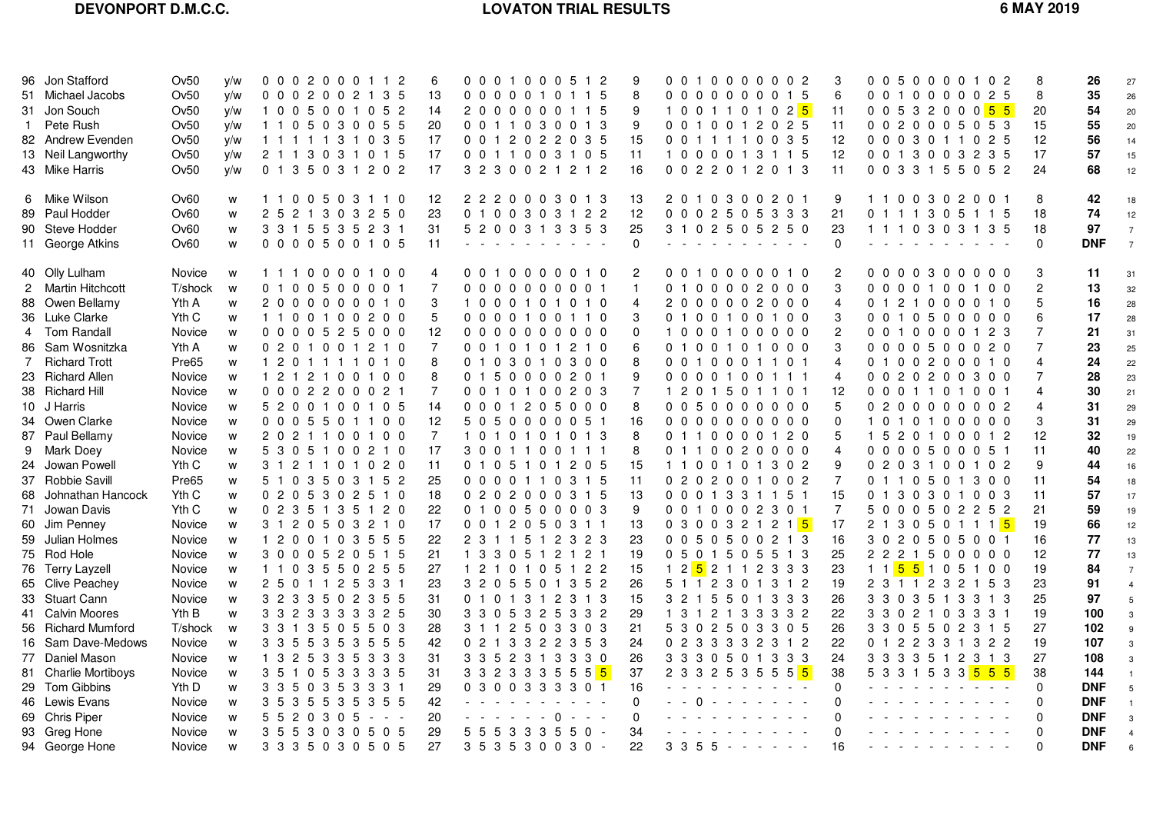# **LOVATON TRIAL RESULTS 6 MAY 2019**

| 96 Jon Stafford<br>51 Michael Jacobs<br>31 Jon Souch<br>1 Pete Rush<br>82 Andrew Evenden<br>13 Neil Langworthy<br>43 Mike Harris                                              | Ov50<br>Ov50<br>Ov50<br>Ov50<br>Ov50<br>Ov50<br>Ov50                                                | V/W<br>y/w<br>y/w<br>y/w<br>y/w<br>y/w<br>y/w | 0 0 0 2 0 0 0 1 1 2<br>0 0 0 2 0 0 2<br>1 3 5<br>1005001052<br>1 1 0 5 0 3 0 0 5 5<br>1 1 1 1 1 3 1 0 3 5<br>2 1 1 3 0 3 1 0 1 5<br>0 1 3 5 0 3 1 2 0 2                                                                                             | 6<br>13<br>14<br>20<br>17<br>17<br>17                                | 0 0 0 1 0 0 0 5 1 2<br>0000010<br>2000000115<br>0 0 1 1 0 3 0 0 1 3<br>0 0 1 2 0 2 2 0 3 5<br>0 0 1 1 0 0 3 1 0 5<br>3 2 3 0 0 2 1 2 1 2                     |             | 1 1 5             | 8<br>9<br>9<br>15<br>11<br>16                          | 0 0 1 0 0 0 0 0 0 2<br>0 <sub>0</sub><br>1 0 0 1 1 0 1 0 2 <mark>5</mark><br>0 0 1 0 0 1 2 0 2 5<br>0 0 1 1 1 1 0 0 3 5<br>1 0 0 0 0 1 3 1 1 5<br>0 0 2 2 0 1 2 0 1 3 | 00000015                     | 3<br>6<br>11<br>11<br>12<br>12<br>11                                          | 0 0 5 0 0 0 0 1 0 2<br>0 0 1 0 0 0 0 0 2 5<br>0 0 5 3 2 0 0 0 <mark>5 5</mark><br>0 0 2 0 0 0 5 0 5 3<br>0 0 0 3 0 1 1 0 2 5<br>0 0 1 3 0 0 3 2 3 5<br>0 0 3 3 1 5 5 0 5 2              |                             | 8<br>8<br>20<br>15<br>12<br>17<br>24                                       | 26<br>35<br>54<br>55<br>56<br>57<br>68                                                  | 27<br>26<br>20<br>20<br>14<br>15<br>12                                                         |
|-------------------------------------------------------------------------------------------------------------------------------------------------------------------------------|-----------------------------------------------------------------------------------------------------|-----------------------------------------------|-----------------------------------------------------------------------------------------------------------------------------------------------------------------------------------------------------------------------------------------------------|----------------------------------------------------------------------|--------------------------------------------------------------------------------------------------------------------------------------------------------------|-------------|-------------------|--------------------------------------------------------|-----------------------------------------------------------------------------------------------------------------------------------------------------------------------|------------------------------|-------------------------------------------------------------------------------|-----------------------------------------------------------------------------------------------------------------------------------------------------------------------------------------|-----------------------------|----------------------------------------------------------------------------|-----------------------------------------------------------------------------------------|------------------------------------------------------------------------------------------------|
| 6 Mike Wilson<br>89 Paul Hodder<br>90 Steve Hodder<br>11 George Atkins                                                                                                        | Ov <sub>60</sub><br>Ov60<br>Ov60<br>Ov60                                                            | w<br>W<br>W<br>W                              | 1 1 0 0 5 0 3 1 1 0<br>2 5 2 1 3 0 3 2 5 0<br>3 3 1 5 5 3 5 2 3 1<br>0 0 0 0 5 0 0 1 0 5                                                                                                                                                            | 12<br>23<br>31<br>11                                                 | 2 2 2 0 0 0 3 0 1 3<br>0 1 0 0 3 0 3 1 2 2<br>5 2 0 0 3 1 3 3 5 3                                                                                            |             |                   | 13<br>12<br>25<br>$\Omega$                             | 2 0 1 0 3 0 0 2 0 1<br>0 0 0 2 5 0 5 3 3 3<br>3 1 0 2 5 0 5 2 5 0                                                                                                     |                              | 9<br>21<br>23<br>$\mathbf 0$                                                  | 1 1 0 0 3 0 2 0 0 1<br>0 1 1 1 3 0 5 1 1 5<br>1 1 1 0 3 0 3 1 3 5                                                                                                                       |                             | 8<br>18<br>18<br>$\mathbf 0$                                               | 42<br>74<br>97<br><b>DNF</b>                                                            | 18<br>12<br>$\overline{7}$<br>$\overline{7}$                                                   |
| 40 Olly Lulham<br>2 Martin Hitchcott<br>88 Owen Bellamy<br>36 Luke Clarke<br>4 Tom Randall<br>86 Sam Wosnitzka<br>7 Richard Trott<br>23 Richard Allen<br>38 Richard Hill      | Novice<br>T/shock w<br>Yth A<br>Yth C<br>Novice<br>Yth A<br>Pre65<br>Novice<br>Novice               | W<br>w<br>W<br>W<br>w<br>W<br>W<br>W          | 1 1 1 0 0 0 0 1 0 0<br>0100500001<br>2000000010<br>1100100200<br>0 0 0 0 5 2 5 0 0 0<br>0 2 0 1 0 0 1 2 1 0<br>1 2 0 1 1 1 1 0 1 0<br>1 2 1 2 1 0 0 1 0 0<br>0 0 0 2 2 0 0 0 2 1                                                                    | 4<br>$\overline{7}$<br>3<br>5<br>12<br>$\overline{7}$<br>8<br>8<br>7 | 0010000010<br>0000000<br>1000101010<br>0 0 0 0 1 0 0 1 1 0<br>0000000000<br>0 0 1 0 1 0 1 2 1 0<br>0103010<br>0150000201<br>0 0 1 0 1 0 0 2 0 3              |             | 001<br>300        | 2<br>$\mathbf{1}$<br>4<br>3<br>$\Omega$<br>6<br>8<br>9 | 0010000010<br>0100002<br>2000002000<br>0100100100<br>1000100000<br>0100101000<br>0010001101<br>0 0 0 0 1 0 0 1 1 1<br>$1\quad2$                                       | $0\,0\,0$<br>0 1 5 0 1 1 0 1 | 2<br>3<br>4<br>3<br>2<br>3<br>4<br>4<br>12                                    | 0 0 0 0 3 0 0 0 0 0<br>$0\quad 0$<br>0121000010<br>0 0 1 0 5 0 0 0 0 0<br>010000123<br>0<br>0 0 0 0 5 0 0 0 2 0<br>0<br>$\overline{1}$<br>0 0 2 0 2 0 0 3 0 0<br>0 0 0 1 1 0 1 0 0 1    | 00100100<br>0 0 2 0 0 0 1 0 | 3<br>$\overline{c}$<br>5<br>6<br>7<br>$\overline{7}$<br>4<br>4             | -11<br>13<br>16<br>17<br>21<br>23<br>24<br>28<br>30                                     | 31<br>32<br>28<br>28<br>31<br>25<br>22<br>23<br>21                                             |
| 10 J Harris<br>34 Owen Clarke<br>87 Paul Bellamy<br>9 Mark Doey<br>24 Jowan Powell<br>37 Robbie Savill<br>68 Johnathan Hancock                                                | Novice<br>Novice<br>Novice<br>Novice<br>Yth C<br>Pre65<br>Yth C                                     | W<br>W<br>W<br>W<br>W<br>W<br>w               | 5 2 0 0 1 0 0 1 0 5<br>0 0 0 5 5 0 1 1 0 0<br>2 0 2 1 1 0 0 1 0 0<br>5 3 0 5 1 0 0 2 1 0<br>3 1 2 1 1 0 1 0 2 0<br>5 1 0 3 5 0 3 1 5 2<br>0 2 0 5 3 0 2 5 1 0                                                                                       | 14<br>12<br>$\overline{7}$<br>17<br>11<br>25<br>18                   | 0 0 0 1 2 0 5 0 0 0<br>5 0 5 0 0 0 0 0 5 1<br>1 0 1 0 1 0 1 0 1 3<br>3 0 0 1 1 0 0 1 1 1<br>0 1 0 5 1 0 1 2 0 5<br>0 0 0 0 1 1 0<br>0 2 0 2 0 0 0 3 1 5      |             | 3 1 5             | 8<br>16<br>8<br>8<br>15<br>11<br>13                    | 0 <sub>0</sub><br>0000000000<br>0110000120<br>0110020000<br>1 1 0 0 1 0 1 3 0 2<br>0 2 0 2 0 0 1 0 0 2<br>0 0 0 1 3 3 1 1 5 1                                         | 50000000                     | 5<br>0<br>5<br>$\overline{4}$<br>9<br>$\overline{7}$<br>15                    | 0 2 0 0 0 0 0 0 0 2<br>1010100000<br>$\mathbf{1}$<br>- 5<br>0 0 0 0 5 0 0 0 5 1<br>0 2 0 3 1 0 0 1 0 2<br>0 1 1 0 5 0 1 3 0 0<br>0 1 3 0 3 0 1 0 0 3                                    | 2 0 1 0 0 0 1 2             | 4<br>3<br>12<br>11<br>9<br>11<br>-11                                       | 31<br>31<br>32<br>40<br>44<br>54<br>57                                                  | 29<br>29<br>19<br>22<br>16<br>18<br>17                                                         |
| 71 Jowan Davis<br>60 Jim Penney<br>59 Julian Holmes<br>75 Rod Hole<br>76 Terry Layzell<br>65 Clive Peachey<br>33 Stuart Cann                                                  | Yth C<br>Novice<br>Novice<br>Novice<br>Novice<br>Novice<br>Novice                                   | W<br>W<br>W<br>W<br>W<br>W<br>W               | 0 2 3 5 1 3 5 1 2 0<br>3 1 2 0 5 0 3 2 1 0<br>1 2 0 0 1 0 3 5 5 5<br>3 0 0 0 5 2 0 5 1 5<br>1 1 0 3 5 5 0 2 5 5<br>2 5 0 1 1 2 5 3 3 1<br>3 2 3 3 5 0 2 3 5 5                                                                                       | 22<br>17<br>22<br>21<br>27<br>23<br>31                               | 0100500003<br>0 0 1 2 0 5 0 3 1 1<br>2 3 1 1 5 1 2 3 2 3<br>1 3 3 0 5 1 2 1 2 1<br>1 2 1 0 1 0 5 1 2 2<br>3 2 0 5 5 0 1 3 5 2<br>0 1 0 1 3 1 2 3 1 3         |             |                   | 9<br>13<br>23<br>19<br>15<br>26<br>15                  | 0 0 1 0 0 0 2 3 0 1<br>0 3 0 0 3 2 1 2 1 <mark>5</mark><br>0 0 5 0 5 0 0 2 1 3<br>0 5 0 1 5 0 5 5 1 3<br>5 1 1 2 3 0 1 3 1 2<br>3 2 1 5 5 0 1 3 3 3                   |                              | 7<br>17<br>16<br>25<br>23<br>19<br>26                                         | 5 0 0 0 5 0 2 2 5 2<br>2 1 3 0 5 0 1 1 1 <mark>5</mark><br>3 0 2 0 5 0 5 0 0 1<br>2 2 2 1 5 0 0 0 0 0<br>1 1 <mark>5 5</mark> 1 0 5 1 0 0<br>2 3 1 1 2 3 2 1 5 3<br>3 3 0 3 5 1 3 3 1 3 |                             | 21<br>19<br>16<br>12<br>19<br>23<br>25                                     | 59<br>66<br>77<br>77<br>84<br>91<br>97                                                  | 19<br>12<br>13<br>13<br>$\overline{7}$<br>$\overline{4}$<br>5                                  |
| 41 Calvin Moores<br>56 Richard Mumford<br>16 Sam Dave-Medows<br>77 Daniel Mason<br>81 Charlie Mortiboys<br>29 Tom Gibbins<br>46 Lewis Evans<br>69 Chris Piper<br>93 Greg Hone | Yth B<br>T/shock<br><b>Novice</b><br>Novice<br>Novice<br>Yth D<br>Novice<br><b>Novice</b><br>Novice | w<br>W<br>W<br>W<br>W<br>w<br>W<br>W<br>W     | 3 3 2 3 3 3 3 3 2 5<br>5 0<br>5<br>3 3 1 3<br>503<br>3 3 5 5 3 5 3 5 5 5<br>1 3 2 5 3 3 5 3 3 3<br>3 5 1 0 5 3 3 3 3 5<br>3 3 5 0 3 5 3 3 3 1<br>3 5 3<br>5<br>5 3 5<br>3 5 5<br>5 5 2 0 3 0 5<br>$\sim$ 10 $\sim$ 10 $\sim$<br>3 5 5 3 0 3 0 5 0 5 | 30<br>28<br>42<br>31<br>31<br>29<br>42<br>20<br>29                   | 3 3 0 5 3 2 5 3 3 2<br>3 1 1 2 5 0 3<br>0 2 1 3 3 2 2 3 5 3<br>3 3 5 2 3 1 3 3 3 0<br>3 3 2 3 3 3 5 5 5 <mark>5</mark><br>0 3 0 0 3 3 3 3 0 1<br>5 5 5 3 3 3 | $- - - - 0$ | 303<br>-5<br>50 - | 29<br>21<br>24<br>26<br>37<br>16<br>$\Omega$<br>34     | 1 3 1 2 1 3 3 3 3 2<br>5 3 0 2 5 0 3 3 0 5<br>0 2 3 3 3 3 2 3 1 2<br>3 3 3 0 5 0 1 3 3 3<br>2 3 3 2 5 3 5 5 5 <mark>5</mark><br>$\Omega$                              | المناصر المناصر المناصر      | 22<br>26<br>22<br>24<br>38<br>$\mathbf 0$<br>$\Omega$<br>$\Omega$<br>$\Omega$ | 3 3 0 2 1 0 3 3 3 1<br>3 3 0 5 5 0 2 3 1 5<br>0 1 2 2 3 3 1 3 2 2<br>3 3 3 3 5 1 2 3 1 3<br>5 3 3 1 5 3 3 <mark>5 5 5</mark>                                                            |                             | 19<br>27<br>19<br>27<br>38<br>$\Omega$<br>$\Omega$<br>$\Omega$<br>$\Omega$ | 100<br>102<br>107<br>108<br>144<br><b>DNF</b><br><b>DNF</b><br><b>DNF</b><br><b>DNF</b> | 3<br>9<br>3<br>3<br>$\overline{1}$<br>$5\phantom{.0}$<br>$\overline{1}$<br>3<br>$\overline{4}$ |
| 94 George Hone                                                                                                                                                                | <b>Novice</b>                                                                                       | W                                             | 3 3 3 5 0 3 0 5 0 5                                                                                                                                                                                                                                 | 27                                                                   | $353530030 -$                                                                                                                                                |             |                   | 22                                                     |                                                                                                                                                                       |                              | 16                                                                            | للمستنقذ والمستنقذ والمستنقذ والمستنقذ                                                                                                                                                  |                             | $\Omega$                                                                   | <b>DNF</b>                                                                              | 6                                                                                              |